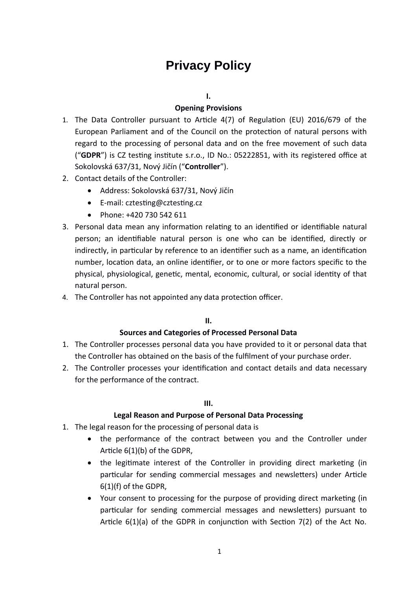# **Privacy Policy**

## **I.**

## **Opening Provisions**

- 1. The Data Controller pursuant to Article 4(7) of Regulation (EU) 2016/679 of the European Parliament and of the Council on the protection of natural persons with regard to the processing of personal data and on the free movement of such data ("**GDPR**") is CZ testing institute s.r.o., ID No.: 05222851, with its registered office at Sokolovská 637/31, Nový Jičín ("**Controller**").
- 2. Contact details of the Controller:
	- Address: Sokolovská 637/31, Nový Jičín
	- E-mail: cztesting@cztesting.cz
	- Phone: +420 730 542 611
- 3. Personal data mean any information relating to an identified or identifiable natural person; an identifiable natural person is one who can be identified, directly or indirectly, in particular by reference to an identifier such as a name, an identification number, location data, an online identifier, or to one or more factors specific to the physical, physiological, genetic, mental, economic, cultural, or social identity of that natural person.
- 4. The Controller has not appointed any data protection officer.

## **II.**

## **Sources and Categories of Processed Personal Data**

- 1. The Controller processes personal data you have provided to it or personal data that the Controller has obtained on the basis of the fulfilment of your purchase order.
- 2. The Controller processes your identification and contact details and data necessary for the performance of the contract.

## **III.**

# **Legal Reason and Purpose of Personal Data Processing**

- 1. The legal reason for the processing of personal data is
	- the performance of the contract between you and the Controller under Article 6(1)(b) of the GDPR,
	- the legitimate interest of the Controller in providing direct marketing (in particular for sending commercial messages and newsletters) under Article 6(1)(f) of the GDPR,
	- Your consent to processing for the purpose of providing direct marketing (in particular for sending commercial messages and newsletters) pursuant to Article 6(1)(a) of the GDPR in conjunction with Section 7(2) of the Act No.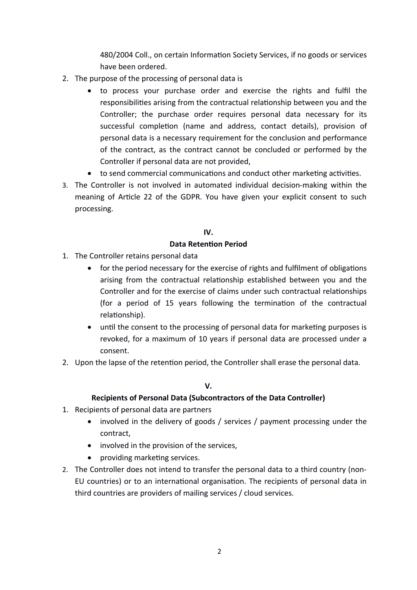480/2004 Coll., on certain Information Society Services, if no goods or services have been ordered.

- 2. The purpose of the processing of personal data is
	- to process your purchase order and exercise the rights and fulfil the responsibilities arising from the contractual relationship between you and the Controller; the purchase order requires personal data necessary for its successful completion (name and address, contact details), provision of personal data is a necessary requirement for the conclusion and performance of the contract, as the contract cannot be concluded or performed by the Controller if personal data are not provided,
		- to send commercial communications and conduct other marketing activities.
- 3. The Controller is not involved in automated individual decision-making within the meaning of Article 22 of the GDPR. You have given your explicit consent to such processing.

# **IV.**

# **Data Retention Period**

- 1. The Controller retains personal data
	- for the period necessary for the exercise of rights and fulfilment of obligations arising from the contractual relationship established between you and the Controller and for the exercise of claims under such contractual relationships (for a period of 15 years following the termination of the contractual relationship).
	- until the consent to the processing of personal data for marketing purposes is revoked, for a maximum of 10 years if personal data are processed under a consent.
- 2. Upon the lapse of the retention period, the Controller shall erase the personal data.

# **V.**

# **Recipients of Personal Data (Subcontractors of the Data Controller)**

- 1. Recipients of personal data are partners
	- involved in the delivery of goods / services / payment processing under the contract,
	- involved in the provision of the services,
	- providing marketing services.
- 2. The Controller does not intend to transfer the personal data to a third country (non-EU countries) or to an international organisation. The recipients of personal data in third countries are providers of mailing services / cloud services.